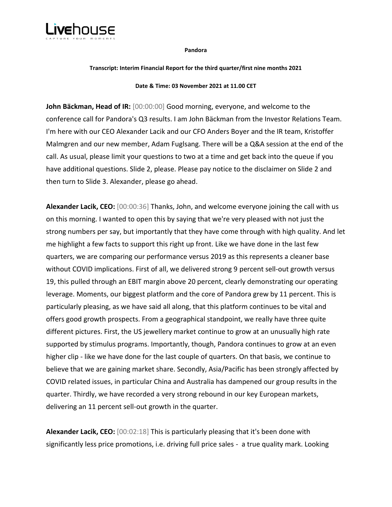

#### **Pandora**

#### **Transcript: Interim Financial Report for the third quarter/first nine months 2021**

#### **Date & Time: 03 November 2021 at 11.00 CET**

**John Bäckman, Head of IR:** [00:00:00] Good morning, everyone, and welcome to the conference call for Pandora's Q3 results. I am John Bäckman from the Investor Relations Team. I'm here with our CEO Alexander Lacik and our CFO Anders Boyer and the IR team, Kristoffer Malmgren and our new member, Adam Fuglsang. There will be a Q&A session at the end of the call. As usual, please limit your questions to two at a time and get back into the queue if you have additional questions. Slide 2, please. Please pay notice to the disclaimer on Slide 2 and then turn to Slide 3. Alexander, please go ahead.

**Alexander Lacik, CEO:** [00:00:36] Thanks, John, and welcome everyone joining the call with us on this morning. I wanted to open this by saying that we're very pleased with not just the strong numbers per say, but importantly that they have come through with high quality. And let me highlight a few facts to support this right up front. Like we have done in the last few quarters, we are comparing our performance versus 2019 as this represents a cleaner base without COVID implications. First of all, we delivered strong 9 percent sell-out growth versus 19, this pulled through an EBIT margin above 20 percent, clearly demonstrating our operating leverage. Moments, our biggest platform and the core of Pandora grew by 11 percent. This is particularly pleasing, as we have said all along, that this platform continues to be vital and offers good growth prospects. From a geographical standpoint, we really have three quite different pictures. First, the US jewellery market continue to grow at an unusually high rate supported by stimulus programs. Importantly, though, Pandora continues to grow at an even higher clip - like we have done for the last couple of quarters. On that basis, we continue to believe that we are gaining market share. Secondly, Asia/Pacific has been strongly affected by COVID related issues, in particular China and Australia has dampened our group results in the quarter. Thirdly, we have recorded a very strong rebound in our key European markets, delivering an 11 percent sell-out growth in the quarter.

**Alexander Lacik, CEO:** [00:02:18] This is particularly pleasing that it's been done with significantly less price promotions, i.e. driving full price sales - a true quality mark. Looking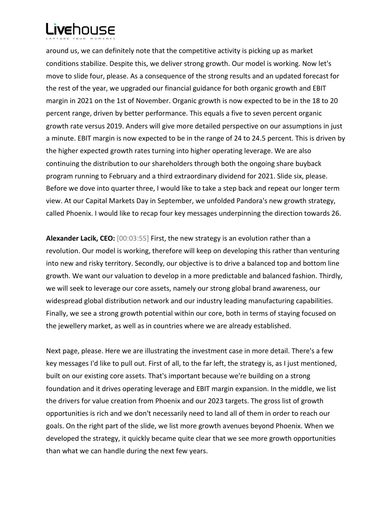around us, we can definitely note that the competitive activity is picking up as market conditions stabilize. Despite this, we deliver strong growth. Our model is working. Now let's move to slide four, please. As a consequence of the strong results and an updated forecast for the rest of the year, we upgraded our financial guidance for both organic growth and EBIT margin in 2021 on the 1st of November. Organic growth is now expected to be in the 18 to 20 percent range, driven by better performance. This equals a five to seven percent organic growth rate versus 2019. Anders will give more detailed perspective on our assumptions in just a minute. EBIT margin is now expected to be in the range of 24 to 24.5 percent. This is driven by the higher expected growth rates turning into higher operating leverage. We are also continuing the distribution to our shareholders through both the ongoing share buyback program running to February and a third extraordinary dividend for 2021. Slide six, please. Before we dove into quarter three, I would like to take a step back and repeat our longer term view. At our Capital Markets Day in September, we unfolded Pandora's new growth strategy, called Phoenix. I would like to recap four key messages underpinning the direction towards 26.

**Alexander Lacik, CEO:** [00:03:55] First, the new strategy is an evolution rather than a revolution. Our model is working, therefore will keep on developing this rather than venturing into new and risky territory. Secondly, our objective is to drive a balanced top and bottom line growth. We want our valuation to develop in a more predictable and balanced fashion. Thirdly, we will seek to leverage our core assets, namely our strong global brand awareness, our widespread global distribution network and our industry leading manufacturing capabilities. Finally, we see a strong growth potential within our core, both in terms of staying focused on the jewellery market, as well as in countries where we are already established.

Next page, please. Here we are illustrating the investment case in more detail. There's a few key messages I'd like to pull out. First of all, to the far left, the strategy is, as I just mentioned, built on our existing core assets. That's important because we're building on a strong foundation and it drives operating leverage and EBIT margin expansion. In the middle, we list the drivers for value creation from Phoenix and our 2023 targets. The gross list of growth opportunities is rich and we don't necessarily need to land all of them in order to reach our goals. On the right part of the slide, we list more growth avenues beyond Phoenix. When we developed the strategy, it quickly became quite clear that we see more growth opportunities than what we can handle during the next few years.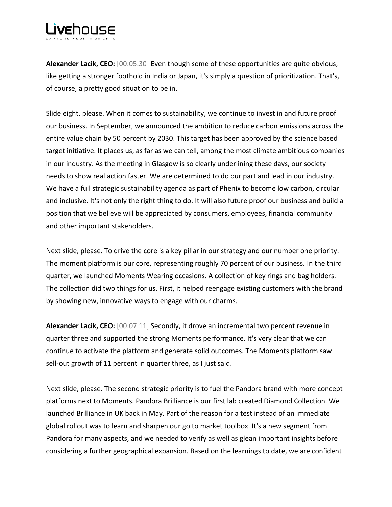**Alexander Lacik, CEO:** [00:05:30] Even though some of these opportunities are quite obvious, like getting a stronger foothold in India or Japan, it's simply a question of prioritization. That's, of course, a pretty good situation to be in.

Slide eight, please. When it comes to sustainability, we continue to invest in and future proof our business. In September, we announced the ambition to reduce carbon emissions across the entire value chain by 50 percent by 2030. This target has been approved by the science based target initiative. It places us, as far as we can tell, among the most climate ambitious companies in our industry. As the meeting in Glasgow is so clearly underlining these days, our society needs to show real action faster. We are determined to do our part and lead in our industry. We have a full strategic sustainability agenda as part of Phenix to become low carbon, circular and inclusive. It's not only the right thing to do. It will also future proof our business and build a position that we believe will be appreciated by consumers, employees, financial community and other important stakeholders.

Next slide, please. To drive the core is a key pillar in our strategy and our number one priority. The moment platform is our core, representing roughly 70 percent of our business. In the third quarter, we launched Moments Wearing occasions. A collection of key rings and bag holders. The collection did two things for us. First, it helped reengage existing customers with the brand by showing new, innovative ways to engage with our charms.

**Alexander Lacik, CEO:** [00:07:11] Secondly, it drove an incremental two percent revenue in quarter three and supported the strong Moments performance. It's very clear that we can continue to activate the platform and generate solid outcomes. The Moments platform saw sell-out growth of 11 percent in quarter three, as I just said.

Next slide, please. The second strategic priority is to fuel the Pandora brand with more concept platforms next to Moments. Pandora Brilliance is our first lab created Diamond Collection. We launched Brilliance in UK back in May. Part of the reason for a test instead of an immediate global rollout was to learn and sharpen our go to market toolbox. It's a new segment from Pandora for many aspects, and we needed to verify as well as glean important insights before considering a further geographical expansion. Based on the learnings to date, we are confident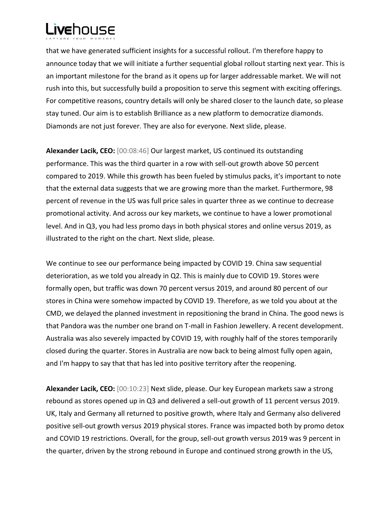that we have generated sufficient insights for a successful rollout. I'm therefore happy to announce today that we will initiate a further sequential global rollout starting next year. This is an important milestone for the brand as it opens up for larger addressable market. We will not rush into this, but successfully build a proposition to serve this segment with exciting offerings. For competitive reasons, country details will only be shared closer to the launch date, so please stay tuned. Our aim is to establish Brilliance as a new platform to democratize diamonds. Diamonds are not just forever. They are also for everyone. Next slide, please.

**Alexander Lacik, CEO:** [00:08:46] Our largest market, US continued its outstanding performance. This was the third quarter in a row with sell-out growth above 50 percent compared to 2019. While this growth has been fueled by stimulus packs, it's important to note that the external data suggests that we are growing more than the market. Furthermore, 98 percent of revenue in the US was full price sales in quarter three as we continue to decrease promotional activity. And across our key markets, we continue to have a lower promotional level. And in Q3, you had less promo days in both physical stores and online versus 2019, as illustrated to the right on the chart. Next slide, please.

We continue to see our performance being impacted by COVID 19. China saw sequential deterioration, as we told you already in Q2. This is mainly due to COVID 19. Stores were formally open, but traffic was down 70 percent versus 2019, and around 80 percent of our stores in China were somehow impacted by COVID 19. Therefore, as we told you about at the CMD, we delayed the planned investment in repositioning the brand in China. The good news is that Pandora was the number one brand on T-mall in Fashion Jewellery. A recent development. Australia was also severely impacted by COVID 19, with roughly half of the stores temporarily closed during the quarter. Stores in Australia are now back to being almost fully open again, and I'm happy to say that that has led into positive territory after the reopening.

**Alexander Lacik, CEO:** [00:10:23] Next slide, please. Our key European markets saw a strong rebound as stores opened up in Q3 and delivered a sell-out growth of 11 percent versus 2019. UK, Italy and Germany all returned to positive growth, where Italy and Germany also delivered positive sell-out growth versus 2019 physical stores. France was impacted both by promo detox and COVID 19 restrictions. Overall, for the group, sell-out growth versus 2019 was 9 percent in the quarter, driven by the strong rebound in Europe and continued strong growth in the US,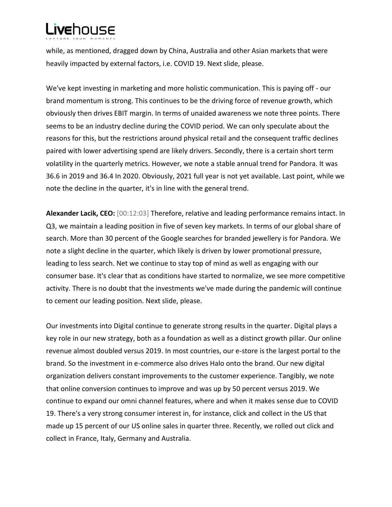while, as mentioned, dragged down by China, Australia and other Asian markets that were heavily impacted by external factors, i.e. COVID 19. Next slide, please.

We've kept investing in marketing and more holistic communication. This is paying off - our brand momentum is strong. This continues to be the driving force of revenue growth, which obviously then drives EBIT margin. In terms of unaided awareness we note three points. There seems to be an industry decline during the COVID period. We can only speculate about the reasons for this, but the restrictions around physical retail and the consequent traffic declines paired with lower advertising spend are likely drivers. Secondly, there is a certain short term volatility in the quarterly metrics. However, we note a stable annual trend for Pandora. It was 36.6 in 2019 and 36.4 In 2020. Obviously, 2021 full year is not yet available. Last point, while we note the decline in the quarter, it's in line with the general trend.

**Alexander Lacik, CEO:** [00:12:03] Therefore, relative and leading performance remains intact. In Q3, we maintain a leading position in five of seven key markets. In terms of our global share of search. More than 30 percent of the Google searches for branded jewellery is for Pandora. We note a slight decline in the quarter, which likely is driven by lower promotional pressure, leading to less search. Net we continue to stay top of mind as well as engaging with our consumer base. It's clear that as conditions have started to normalize, we see more competitive activity. There is no doubt that the investments we've made during the pandemic will continue to cement our leading position. Next slide, please.

Our investments into Digital continue to generate strong results in the quarter. Digital plays a key role in our new strategy, both as a foundation as well as a distinct growth pillar. Our online revenue almost doubled versus 2019. In most countries, our e-store is the largest portal to the brand. So the investment in e-commerce also drives Halo onto the brand. Our new digital organization delivers constant improvements to the customer experience. Tangibly, we note that online conversion continues to improve and was up by 50 percent versus 2019. We continue to expand our omni channel features, where and when it makes sense due to COVID 19. There's a very strong consumer interest in, for instance, click and collect in the US that made up 15 percent of our US online sales in quarter three. Recently, we rolled out click and collect in France, Italy, Germany and Australia.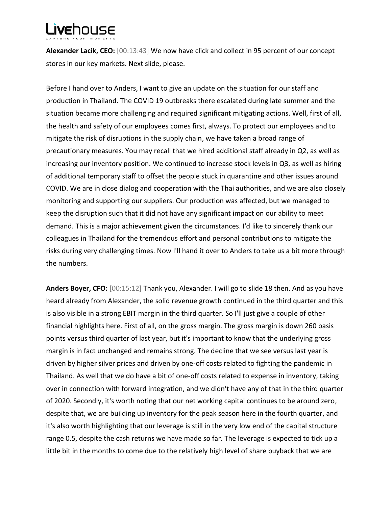**Alexander Lacik, CEO:** [00:13:43] We now have click and collect in 95 percent of our concept stores in our key markets. Next slide, please.

Before I hand over to Anders, I want to give an update on the situation for our staff and production in Thailand. The COVID 19 outbreaks there escalated during late summer and the situation became more challenging and required significant mitigating actions. Well, first of all, the health and safety of our employees comes first, always. To protect our employees and to mitigate the risk of disruptions in the supply chain, we have taken a broad range of precautionary measures. You may recall that we hired additional staff already in Q2, as well as increasing our inventory position. We continued to increase stock levels in Q3, as well as hiring of additional temporary staff to offset the people stuck in quarantine and other issues around COVID. We are in close dialog and cooperation with the Thai authorities, and we are also closely monitoring and supporting our suppliers. Our production was affected, but we managed to keep the disruption such that it did not have any significant impact on our ability to meet demand. This is a major achievement given the circumstances. I'd like to sincerely thank our colleagues in Thailand for the tremendous effort and personal contributions to mitigate the risks during very challenging times. Now I'll hand it over to Anders to take us a bit more through the numbers.

**Anders Boyer, CFO:** [00:15:12] Thank you, Alexander. I will go to slide 18 then. And as you have heard already from Alexander, the solid revenue growth continued in the third quarter and this is also visible in a strong EBIT margin in the third quarter. So I'll just give a couple of other financial highlights here. First of all, on the gross margin. The gross margin is down 260 basis points versus third quarter of last year, but it's important to know that the underlying gross margin is in fact unchanged and remains strong. The decline that we see versus last year is driven by higher silver prices and driven by one-off costs related to fighting the pandemic in Thailand. As well that we do have a bit of one-off costs related to expense in inventory, taking over in connection with forward integration, and we didn't have any of that in the third quarter of 2020. Secondly, it's worth noting that our net working capital continues to be around zero, despite that, we are building up inventory for the peak season here in the fourth quarter, and it's also worth highlighting that our leverage is still in the very low end of the capital structure range 0.5, despite the cash returns we have made so far. The leverage is expected to tick up a little bit in the months to come due to the relatively high level of share buyback that we are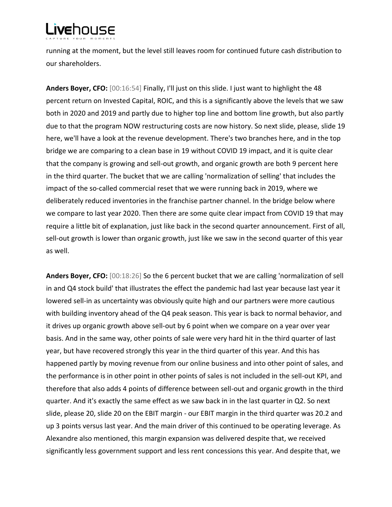running at the moment, but the level still leaves room for continued future cash distribution to our shareholders.

**Anders Boyer, CFO:** [00:16:54] Finally, I'll just on this slide. I just want to highlight the 48 percent return on Invested Capital, ROIC, and this is a significantly above the levels that we saw both in 2020 and 2019 and partly due to higher top line and bottom line growth, but also partly due to that the program NOW restructuring costs are now history. So next slide, please, slide 19 here, we'll have a look at the revenue development. There's two branches here, and in the top bridge we are comparing to a clean base in 19 without COVID 19 impact, and it is quite clear that the company is growing and sell-out growth, and organic growth are both 9 percent here in the third quarter. The bucket that we are calling 'normalization of selling' that includes the impact of the so-called commercial reset that we were running back in 2019, where we deliberately reduced inventories in the franchise partner channel. In the bridge below where we compare to last year 2020. Then there are some quite clear impact from COVID 19 that may require a little bit of explanation, just like back in the second quarter announcement. First of all, sell-out growth is lower than organic growth, just like we saw in the second quarter of this year as well.

**Anders Boyer, CFO:** [00:18:26] So the 6 percent bucket that we are calling 'normalization of sell in and Q4 stock build' that illustrates the effect the pandemic had last year because last year it lowered sell-in as uncertainty was obviously quite high and our partners were more cautious with building inventory ahead of the Q4 peak season. This year is back to normal behavior, and it drives up organic growth above sell-out by 6 point when we compare on a year over year basis. And in the same way, other points of sale were very hard hit in the third quarter of last year, but have recovered strongly this year in the third quarter of this year. And this has happened partly by moving revenue from our online business and into other point of sales, and the performance is in other point in other points of sales is not included in the sell-out KPI, and therefore that also adds 4 points of difference between sell-out and organic growth in the third quarter. And it's exactly the same effect as we saw back in in the last quarter in Q2. So next slide, please 20, slide 20 on the EBIT margin - our EBIT margin in the third quarter was 20.2 and up 3 points versus last year. And the main driver of this continued to be operating leverage. As Alexandre also mentioned, this margin expansion was delivered despite that, we received significantly less government support and less rent concessions this year. And despite that, we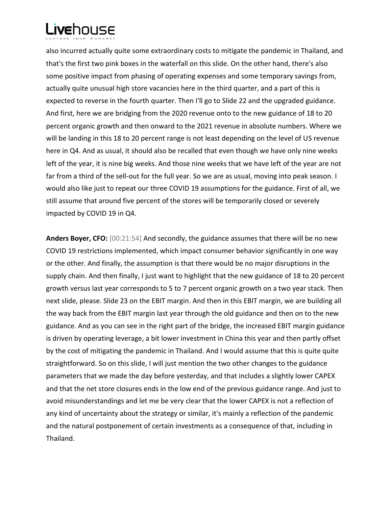also incurred actually quite some extraordinary costs to mitigate the pandemic in Thailand, and that's the first two pink boxes in the waterfall on this slide. On the other hand, there's also some positive impact from phasing of operating expenses and some temporary savings from, actually quite unusual high store vacancies here in the third quarter, and a part of this is expected to reverse in the fourth quarter. Then I'll go to Slide 22 and the upgraded guidance. And first, here we are bridging from the 2020 revenue onto to the new guidance of 18 to 20 percent organic growth and then onward to the 2021 revenue in absolute numbers. Where we will be landing in this 18 to 20 percent range is not least depending on the level of US revenue here in Q4. And as usual, it should also be recalled that even though we have only nine weeks left of the year, it is nine big weeks. And those nine weeks that we have left of the year are not far from a third of the sell-out for the full year. So we are as usual, moving into peak season. I would also like just to repeat our three COVID 19 assumptions for the guidance. First of all, we still assume that around five percent of the stores will be temporarily closed or severely impacted by COVID 19 in Q4.

**Anders Boyer, CFO:** [00:21:54] And secondly, the guidance assumes that there will be no new COVID 19 restrictions implemented, which impact consumer behavior significantly in one way or the other. And finally, the assumption is that there would be no major disruptions in the supply chain. And then finally, I just want to highlight that the new guidance of 18 to 20 percent growth versus last year corresponds to 5 to 7 percent organic growth on a two year stack. Then next slide, please. Slide 23 on the EBIT margin. And then in this EBIT margin, we are building all the way back from the EBIT margin last year through the old guidance and then on to the new guidance. And as you can see in the right part of the bridge, the increased EBIT margin guidance is driven by operating leverage, a bit lower investment in China this year and then partly offset by the cost of mitigating the pandemic in Thailand. And I would assume that this is quite quite straightforward. So on this slide, I will just mention the two other changes to the guidance parameters that we made the day before yesterday, and that includes a slightly lower CAPEX and that the net store closures ends in the low end of the previous guidance range. And just to avoid misunderstandings and let me be very clear that the lower CAPEX is not a reflection of any kind of uncertainty about the strategy or similar, it's mainly a reflection of the pandemic and the natural postponement of certain investments as a consequence of that, including in Thailand.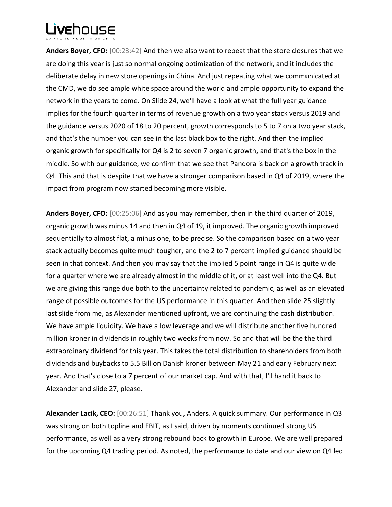**Anders Boyer, CFO:** [00:23:42] And then we also want to repeat that the store closures that we are doing this year is just so normal ongoing optimization of the network, and it includes the deliberate delay in new store openings in China. And just repeating what we communicated at the CMD, we do see ample white space around the world and ample opportunity to expand the network in the years to come. On Slide 24, we'll have a look at what the full year guidance implies for the fourth quarter in terms of revenue growth on a two year stack versus 2019 and the guidance versus 2020 of 18 to 20 percent, growth corresponds to 5 to 7 on a two year stack, and that's the number you can see in the last black box to the right. And then the implied organic growth for specifically for Q4 is 2 to seven 7 organic growth, and that's the box in the middle. So with our guidance, we confirm that we see that Pandora is back on a growth track in Q4. This and that is despite that we have a stronger comparison based in Q4 of 2019, where the impact from program now started becoming more visible.

**Anders Boyer, CFO:** [00:25:06] And as you may remember, then in the third quarter of 2019, organic growth was minus 14 and then in Q4 of 19, it improved. The organic growth improved sequentially to almost flat, a minus one, to be precise. So the comparison based on a two year stack actually becomes quite much tougher, and the 2 to 7 percent implied guidance should be seen in that context. And then you may say that the implied 5 point range in Q4 is quite wide for a quarter where we are already almost in the middle of it, or at least well into the Q4. But we are giving this range due both to the uncertainty related to pandemic, as well as an elevated range of possible outcomes for the US performance in this quarter. And then slide 25 slightly last slide from me, as Alexander mentioned upfront, we are continuing the cash distribution. We have ample liquidity. We have a low leverage and we will distribute another five hundred million kroner in dividends in roughly two weeks from now. So and that will be the the third extraordinary dividend for this year. This takes the total distribution to shareholders from both dividends and buybacks to 5.5 Billion Danish kroner between May 21 and early February next year. And that's close to a 7 percent of our market cap. And with that, I'll hand it back to Alexander and slide 27, please.

**Alexander Lacik, CEO:** [00:26:51] Thank you, Anders. A quick summary. Our performance in Q3 was strong on both topline and EBIT, as I said, driven by moments continued strong US performance, as well as a very strong rebound back to growth in Europe. We are well prepared for the upcoming Q4 trading period. As noted, the performance to date and our view on Q4 led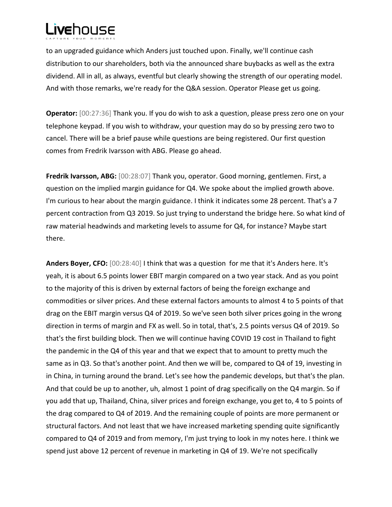to an upgraded guidance which Anders just touched upon. Finally, we'll continue cash distribution to our shareholders, both via the announced share buybacks as well as the extra dividend. All in all, as always, eventful but clearly showing the strength of our operating model. And with those remarks, we're ready for the Q&A session. Operator Please get us going.

**Operator:** [00:27:36] Thank you. If you do wish to ask a question, please press zero one on your telephone keypad. If you wish to withdraw, your question may do so by pressing zero two to cancel. There will be a brief pause while questions are being registered. Our first question comes from Fredrik Ivarsson with ABG. Please go ahead.

**Fredrik Ivarsson, ABG:** [00:28:07] Thank you, operator. Good morning, gentlemen. First, a question on the implied margin guidance for Q4. We spoke about the implied growth above. I'm curious to hear about the margin guidance. I think it indicates some 28 percent. That's a 7 percent contraction from Q3 2019. So just trying to understand the bridge here. So what kind of raw material headwinds and marketing levels to assume for Q4, for instance? Maybe start there.

**Anders Boyer, CFO:** [00:28:40] I think that was a question for me that it's Anders here. It's yeah, it is about 6.5 points lower EBIT margin compared on a two year stack. And as you point to the majority of this is driven by external factors of being the foreign exchange and commodities or silver prices. And these external factors amounts to almost 4 to 5 points of that drag on the EBIT margin versus Q4 of 2019. So we've seen both silver prices going in the wrong direction in terms of margin and FX as well. So in total, that's, 2.5 points versus Q4 of 2019. So that's the first building block. Then we will continue having COVID 19 cost in Thailand to fight the pandemic in the Q4 of this year and that we expect that to amount to pretty much the same as in Q3. So that's another point. And then we will be, compared to Q4 of 19, investing in in China, in turning around the brand. Let's see how the pandemic develops, but that's the plan. And that could be up to another, uh, almost 1 point of drag specifically on the Q4 margin. So if you add that up, Thailand, China, silver prices and foreign exchange, you get to, 4 to 5 points of the drag compared to Q4 of 2019. And the remaining couple of points are more permanent or structural factors. And not least that we have increased marketing spending quite significantly compared to Q4 of 2019 and from memory, I'm just trying to look in my notes here. I think we spend just above 12 percent of revenue in marketing in Q4 of 19. We're not specifically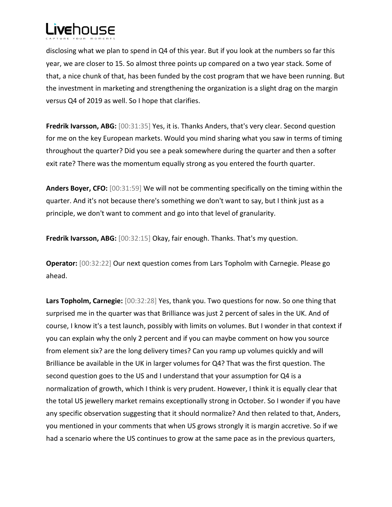

disclosing what we plan to spend in Q4 of this year. But if you look at the numbers so far this year, we are closer to 15. So almost three points up compared on a two year stack. Some of that, a nice chunk of that, has been funded by the cost program that we have been running. But the investment in marketing and strengthening the organization is a slight drag on the margin versus Q4 of 2019 as well. So I hope that clarifies.

**Fredrik Ivarsson, ABG:** [00:31:35] Yes, it is. Thanks Anders, that's very clear. Second question for me on the key European markets. Would you mind sharing what you saw in terms of timing throughout the quarter? Did you see a peak somewhere during the quarter and then a softer exit rate? There was the momentum equally strong as you entered the fourth quarter.

**Anders Boyer, CFO:** [00:31:59] We will not be commenting specifically on the timing within the quarter. And it's not because there's something we don't want to say, but I think just as a principle, we don't want to comment and go into that level of granularity.

**Fredrik Ivarsson, ABG:** [00:32:15] Okay, fair enough. Thanks. That's my question.

**Operator:** [00:32:22] Our next question comes from Lars Topholm with Carnegie. Please go ahead.

**Lars Topholm, Carnegie:** [00:32:28] Yes, thank you. Two questions for now. So one thing that surprised me in the quarter was that Brilliance was just 2 percent of sales in the UK. And of course, I know it's a test launch, possibly with limits on volumes. But I wonder in that context if you can explain why the only 2 percent and if you can maybe comment on how you source from element six? are the long delivery times? Can you ramp up volumes quickly and will Brilliance be available in the UK in larger volumes for Q4? That was the first question. The second question goes to the US and I understand that your assumption for Q4 is a normalization of growth, which I think is very prudent. However, I think it is equally clear that the total US jewellery market remains exceptionally strong in October. So I wonder if you have any specific observation suggesting that it should normalize? And then related to that, Anders, you mentioned in your comments that when US grows strongly it is margin accretive. So if we had a scenario where the US continues to grow at the same pace as in the previous quarters,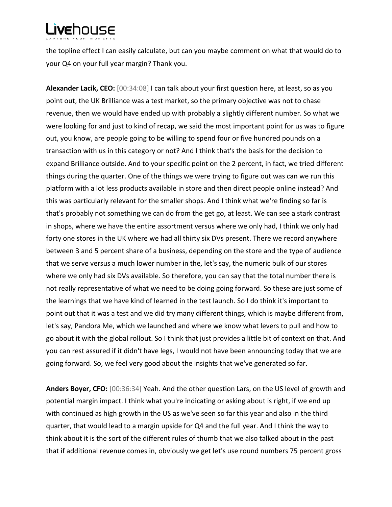the topline effect I can easily calculate, but can you maybe comment on what that would do to your Q4 on your full year margin? Thank you.

**Alexander Lacik, CEO:** [00:34:08] I can talk about your first question here, at least, so as you point out, the UK Brilliance was a test market, so the primary objective was not to chase revenue, then we would have ended up with probably a slightly different number. So what we were looking for and just to kind of recap, we said the most important point for us was to figure out, you know, are people going to be willing to spend four or five hundred pounds on a transaction with us in this category or not? And I think that's the basis for the decision to expand Brilliance outside. And to your specific point on the 2 percent, in fact, we tried different things during the quarter. One of the things we were trying to figure out was can we run this platform with a lot less products available in store and then direct people online instead? And this was particularly relevant for the smaller shops. And I think what we're finding so far is that's probably not something we can do from the get go, at least. We can see a stark contrast in shops, where we have the entire assortment versus where we only had, I think we only had forty one stores in the UK where we had all thirty six DVs present. There we record anywhere between 3 and 5 percent share of a business, depending on the store and the type of audience that we serve versus a much lower number in the, let's say, the numeric bulk of our stores where we only had six DVs available. So therefore, you can say that the total number there is not really representative of what we need to be doing going forward. So these are just some of the learnings that we have kind of learned in the test launch. So I do think it's important to point out that it was a test and we did try many different things, which is maybe different from, let's say, Pandora Me, which we launched and where we know what levers to pull and how to go about it with the global rollout. So I think that just provides a little bit of context on that. And you can rest assured if it didn't have legs, I would not have been announcing today that we are going forward. So, we feel very good about the insights that we've generated so far.

**Anders Boyer, CFO:** [00:36:34] Yeah. And the other question Lars, on the US level of growth and potential margin impact. I think what you're indicating or asking about is right, if we end up with continued as high growth in the US as we've seen so far this year and also in the third quarter, that would lead to a margin upside for Q4 and the full year. And I think the way to think about it is the sort of the different rules of thumb that we also talked about in the past that if additional revenue comes in, obviously we get let's use round numbers 75 percent gross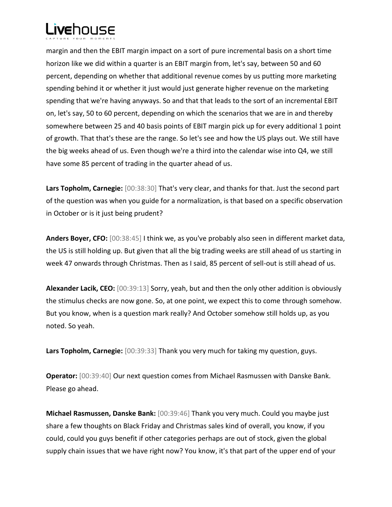

margin and then the EBIT margin impact on a sort of pure incremental basis on a short time horizon like we did within a quarter is an EBIT margin from, let's say, between 50 and 60 percent, depending on whether that additional revenue comes by us putting more marketing spending behind it or whether it just would just generate higher revenue on the marketing spending that we're having anyways. So and that that leads to the sort of an incremental EBIT on, let's say, 50 to 60 percent, depending on which the scenarios that we are in and thereby somewhere between 25 and 40 basis points of EBIT margin pick up for every additional 1 point of growth. That that's these are the range. So let's see and how the US plays out. We still have the big weeks ahead of us. Even though we're a third into the calendar wise into Q4, we still have some 85 percent of trading in the quarter ahead of us.

**Lars Topholm, Carnegie:** [00:38:30] That's very clear, and thanks for that. Just the second part of the question was when you guide for a normalization, is that based on a specific observation in October or is it just being prudent?

**Anders Boyer, CFO:** [00:38:45] I think we, as you've probably also seen in different market data, the US is still holding up. But given that all the big trading weeks are still ahead of us starting in week 47 onwards through Christmas. Then as I said, 85 percent of sell-out is still ahead of us.

**Alexander Lacik, CEO:** [00:39:13] Sorry, yeah, but and then the only other addition is obviously the stimulus checks are now gone. So, at one point, we expect this to come through somehow. But you know, when is a question mark really? And October somehow still holds up, as you noted. So yeah.

**Lars Topholm, Carnegie:** [00:39:33] Thank you very much for taking my question, guys.

**Operator:** [00:39:40] Our next question comes from Michael Rasmussen with Danske Bank. Please go ahead.

**Michael Rasmussen, Danske Bank:** [00:39:46] Thank you very much. Could you maybe just share a few thoughts on Black Friday and Christmas sales kind of overall, you know, if you could, could you guys benefit if other categories perhaps are out of stock, given the global supply chain issues that we have right now? You know, it's that part of the upper end of your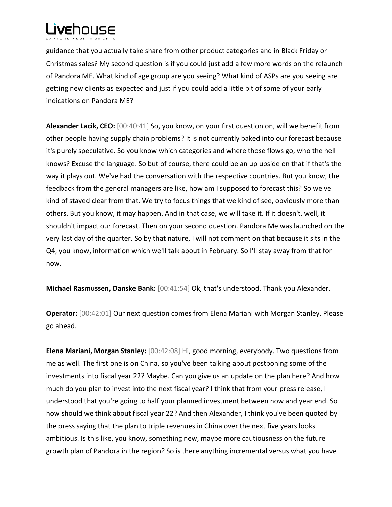

guidance that you actually take share from other product categories and in Black Friday or Christmas sales? My second question is if you could just add a few more words on the relaunch of Pandora ME. What kind of age group are you seeing? What kind of ASPs are you seeing are getting new clients as expected and just if you could add a little bit of some of your early indications on Pandora ME?

**Alexander Lacik, CEO:** [00:40:41] So, you know, on your first question on, will we benefit from other people having supply chain problems? It is not currently baked into our forecast because it's purely speculative. So you know which categories and where those flows go, who the hell knows? Excuse the language. So but of course, there could be an up upside on that if that's the way it plays out. We've had the conversation with the respective countries. But you know, the feedback from the general managers are like, how am I supposed to forecast this? So we've kind of stayed clear from that. We try to focus things that we kind of see, obviously more than others. But you know, it may happen. And in that case, we will take it. If it doesn't, well, it shouldn't impact our forecast. Then on your second question. Pandora Me was launched on the very last day of the quarter. So by that nature, I will not comment on that because it sits in the Q4, you know, information which we'll talk about in February. So I'll stay away from that for now.

**Michael Rasmussen, Danske Bank:** [00:41:54] Ok, that's understood. Thank you Alexander.

**Operator:** [00:42:01] Our next question comes from Elena Mariani with Morgan Stanley. Please go ahead.

**Elena Mariani, Morgan Stanley:** [00:42:08] Hi, good morning, everybody. Two questions from me as well. The first one is on China, so you've been talking about postponing some of the investments into fiscal year 22? Maybe. Can you give us an update on the plan here? And how much do you plan to invest into the next fiscal year? I think that from your press release, I understood that you're going to half your planned investment between now and year end. So how should we think about fiscal year 22? And then Alexander, I think you've been quoted by the press saying that the plan to triple revenues in China over the next five years looks ambitious. Is this like, you know, something new, maybe more cautiousness on the future growth plan of Pandora in the region? So is there anything incremental versus what you have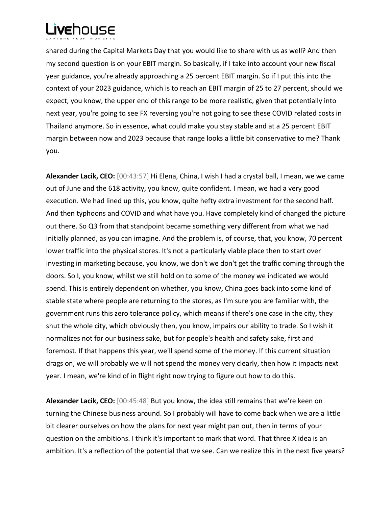

shared during the Capital Markets Day that you would like to share with us as well? And then my second question is on your EBIT margin. So basically, if I take into account your new fiscal year guidance, you're already approaching a 25 percent EBIT margin. So if I put this into the context of your 2023 guidance, which is to reach an EBIT margin of 25 to 27 percent, should we expect, you know, the upper end of this range to be more realistic, given that potentially into next year, you're going to see FX reversing you're not going to see these COVID related costs in Thailand anymore. So in essence, what could make you stay stable and at a 25 percent EBIT margin between now and 2023 because that range looks a little bit conservative to me? Thank you.

**Alexander Lacik, CEO:** [00:43:57] Hi Elena, China, I wish I had a crystal ball, I mean, we we came out of June and the 618 activity, you know, quite confident. I mean, we had a very good execution. We had lined up this, you know, quite hefty extra investment for the second half. And then typhoons and COVID and what have you. Have completely kind of changed the picture out there. So Q3 from that standpoint became something very different from what we had initially planned, as you can imagine. And the problem is, of course, that, you know, 70 percent lower traffic into the physical stores. It's not a particularly viable place then to start over investing in marketing because, you know, we don't we don't get the traffic coming through the doors. So I, you know, whilst we still hold on to some of the money we indicated we would spend. This is entirely dependent on whether, you know, China goes back into some kind of stable state where people are returning to the stores, as I'm sure you are familiar with, the government runs this zero tolerance policy, which means if there's one case in the city, they shut the whole city, which obviously then, you know, impairs our ability to trade. So I wish it normalizes not for our business sake, but for people's health and safety sake, first and foremost. If that happens this year, we'll spend some of the money. If this current situation drags on, we will probably we will not spend the money very clearly, then how it impacts next year. I mean, we're kind of in flight right now trying to figure out how to do this.

**Alexander Lacik, CEO:** [00:45:48] But you know, the idea still remains that we're keen on turning the Chinese business around. So I probably will have to come back when we are a little bit clearer ourselves on how the plans for next year might pan out, then in terms of your question on the ambitions. I think it's important to mark that word. That three X idea is an ambition. It's a reflection of the potential that we see. Can we realize this in the next five years?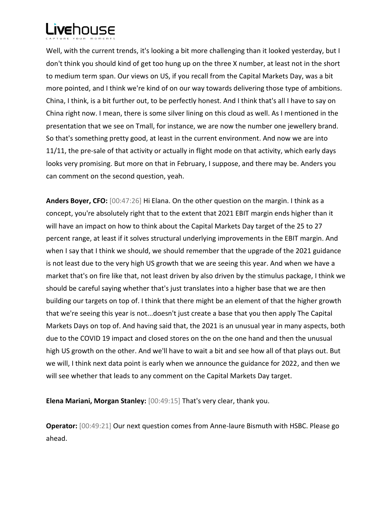

Well, with the current trends, it's looking a bit more challenging than it looked yesterday, but I don't think you should kind of get too hung up on the three X number, at least not in the short to medium term span. Our views on US, if you recall from the Capital Markets Day, was a bit more pointed, and I think we're kind of on our way towards delivering those type of ambitions. China, I think, is a bit further out, to be perfectly honest. And I think that's all I have to say on China right now. I mean, there is some silver lining on this cloud as well. As I mentioned in the presentation that we see on Tmall, for instance, we are now the number one jewellery brand. So that's something pretty good, at least in the current environment. And now we are into 11/11, the pre-sale of that activity or actually in flight mode on that activity, which early days looks very promising. But more on that in February, I suppose, and there may be. Anders you can comment on the second question, yeah.

**Anders Boyer, CFO:** [00:47:26] Hi Elana. On the other question on the margin. I think as a concept, you're absolutely right that to the extent that 2021 EBIT margin ends higher than it will have an impact on how to think about the Capital Markets Day target of the 25 to 27 percent range, at least if it solves structural underlying improvements in the EBIT margin. And when I say that I think we should, we should remember that the upgrade of the 2021 guidance is not least due to the very high US growth that we are seeing this year. And when we have a market that's on fire like that, not least driven by also driven by the stimulus package, I think we should be careful saying whether that's just translates into a higher base that we are then building our targets on top of. I think that there might be an element of that the higher growth that we're seeing this year is not...doesn't just create a base that you then apply The Capital Markets Days on top of. And having said that, the 2021 is an unusual year in many aspects, both due to the COVID 19 impact and closed stores on the on the one hand and then the unusual high US growth on the other. And we'll have to wait a bit and see how all of that plays out. But we will, I think next data point is early when we announce the guidance for 2022, and then we will see whether that leads to any comment on the Capital Markets Day target.

**Elena Mariani, Morgan Stanley:** [00:49:15] That's very clear, thank you.

**Operator:** [00:49:21] Our next question comes from Anne-laure Bismuth with HSBC. Please go ahead.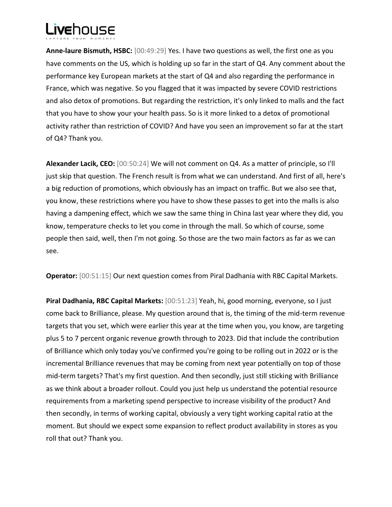**Anne-laure Bismuth, HSBC:** [00:49:29] Yes. I have two questions as well, the first one as you have comments on the US, which is holding up so far in the start of Q4. Any comment about the performance key European markets at the start of Q4 and also regarding the performance in France, which was negative. So you flagged that it was impacted by severe COVID restrictions and also detox of promotions. But regarding the restriction, it's only linked to malls and the fact that you have to show your your health pass. So is it more linked to a detox of promotional activity rather than restriction of COVID? And have you seen an improvement so far at the start of Q4? Thank you.

**Alexander Lacik, CEO:** [00:50:24] We will not comment on Q4. As a matter of principle, so I'll just skip that question. The French result is from what we can understand. And first of all, here's a big reduction of promotions, which obviously has an impact on traffic. But we also see that, you know, these restrictions where you have to show these passes to get into the malls is also having a dampening effect, which we saw the same thing in China last year where they did, you know, temperature checks to let you come in through the mall. So which of course, some people then said, well, then I'm not going. So those are the two main factors as far as we can see.

**Operator:** [00:51:15] Our next question comes from Piral Dadhania with RBC Capital Markets.

**Piral Dadhania, RBC Capital Markets:** [00:51:23] Yeah, hi, good morning, everyone, so I just come back to Brilliance, please. My question around that is, the timing of the mid-term revenue targets that you set, which were earlier this year at the time when you, you know, are targeting plus 5 to 7 percent organic revenue growth through to 2023. Did that include the contribution of Brilliance which only today you've confirmed you're going to be rolling out in 2022 or is the incremental Brilliance revenues that may be coming from next year potentially on top of those mid-term targets? That's my first question. And then secondly, just still sticking with Brilliance as we think about a broader rollout. Could you just help us understand the potential resource requirements from a marketing spend perspective to increase visibility of the product? And then secondly, in terms of working capital, obviously a very tight working capital ratio at the moment. But should we expect some expansion to reflect product availability in stores as you roll that out? Thank you.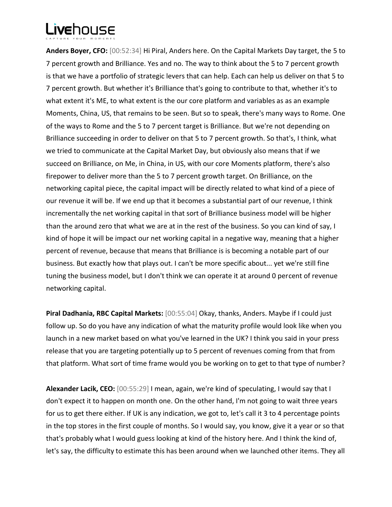**Anders Boyer, CFO:** [00:52:34] Hi Piral, Anders here. On the Capital Markets Day target, the 5 to 7 percent growth and Brilliance. Yes and no. The way to think about the 5 to 7 percent growth is that we have a portfolio of strategic levers that can help. Each can help us deliver on that 5 to 7 percent growth. But whether it's Brilliance that's going to contribute to that, whether it's to what extent it's ME, to what extent is the our core platform and variables as as an example Moments, China, US, that remains to be seen. But so to speak, there's many ways to Rome. One of the ways to Rome and the 5 to 7 percent target is Brilliance. But we're not depending on Brilliance succeeding in order to deliver on that 5 to 7 percent growth. So that's, I think, what we tried to communicate at the Capital Market Day, but obviously also means that if we succeed on Brilliance, on Me, in China, in US, with our core Moments platform, there's also firepower to deliver more than the 5 to 7 percent growth target. On Brilliance, on the networking capital piece, the capital impact will be directly related to what kind of a piece of our revenue it will be. If we end up that it becomes a substantial part of our revenue, I think incrementally the net working capital in that sort of Brilliance business model will be higher than the around zero that what we are at in the rest of the business. So you can kind of say, I kind of hope it will be impact our net working capital in a negative way, meaning that a higher percent of revenue, because that means that Brilliance is is becoming a notable part of our business. But exactly how that plays out. I can't be more specific about... yet we're still fine tuning the business model, but I don't think we can operate it at around 0 percent of revenue networking capital.

**Piral Dadhania, RBC Capital Markets:** [00:55:04] Okay, thanks, Anders. Maybe if I could just follow up. So do you have any indication of what the maturity profile would look like when you launch in a new market based on what you've learned in the UK? I think you said in your press release that you are targeting potentially up to 5 percent of revenues coming from that from that platform. What sort of time frame would you be working on to get to that type of number?

**Alexander Lacik, CEO:** [00:55:29] I mean, again, we're kind of speculating, I would say that I don't expect it to happen on month one. On the other hand, I'm not going to wait three years for us to get there either. If UK is any indication, we got to, let's call it 3 to 4 percentage points in the top stores in the first couple of months. So I would say, you know, give it a year or so that that's probably what I would guess looking at kind of the history here. And I think the kind of, let's say, the difficulty to estimate this has been around when we launched other items. They all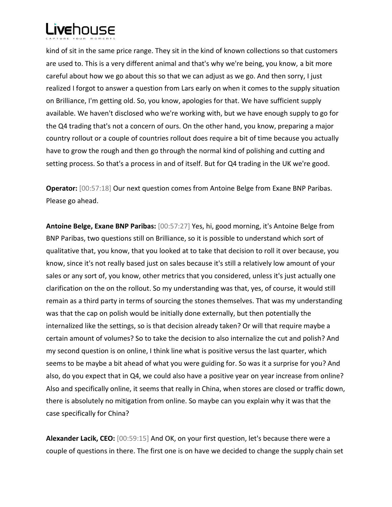

kind of sit in the same price range. They sit in the kind of known collections so that customers are used to. This is a very different animal and that's why we're being, you know, a bit more careful about how we go about this so that we can adjust as we go. And then sorry, I just realized I forgot to answer a question from Lars early on when it comes to the supply situation on Brilliance, I'm getting old. So, you know, apologies for that. We have sufficient supply available. We haven't disclosed who we're working with, but we have enough supply to go for the Q4 trading that's not a concern of ours. On the other hand, you know, preparing a major country rollout or a couple of countries rollout does require a bit of time because you actually have to grow the rough and then go through the normal kind of polishing and cutting and setting process. So that's a process in and of itself. But for Q4 trading in the UK we're good.

**Operator:** [00:57:18] Our next question comes from Antoine Belge from Exane BNP Paribas. Please go ahead.

**Antoine Belge, Exane BNP Paribas:** [00:57:27] Yes, hi, good morning, it's Antoine Belge from BNP Paribas, two questions still on Brilliance, so it is possible to understand which sort of qualitative that, you know, that you looked at to take that decision to roll it over because, you know, since it's not really based just on sales because it's still a relatively low amount of your sales or any sort of, you know, other metrics that you considered, unless it's just actually one clarification on the on the rollout. So my understanding was that, yes, of course, it would still remain as a third party in terms of sourcing the stones themselves. That was my understanding was that the cap on polish would be initially done externally, but then potentially the internalized like the settings, so is that decision already taken? Or will that require maybe a certain amount of volumes? So to take the decision to also internalize the cut and polish? And my second question is on online, I think line what is positive versus the last quarter, which seems to be maybe a bit ahead of what you were guiding for. So was it a surprise for you? And also, do you expect that in Q4, we could also have a positive year on year increase from online? Also and specifically online, it seems that really in China, when stores are closed or traffic down, there is absolutely no mitigation from online. So maybe can you explain why it was that the case specifically for China?

**Alexander Lacik, CEO:** [00:59:15] And OK, on your first question, let's because there were a couple of questions in there. The first one is on have we decided to change the supply chain set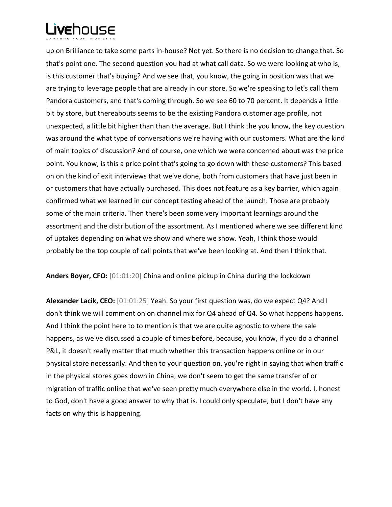up on Brilliance to take some parts in-house? Not yet. So there is no decision to change that. So that's point one. The second question you had at what call data. So we were looking at who is, is this customer that's buying? And we see that, you know, the going in position was that we are trying to leverage people that are already in our store. So we're speaking to let's call them Pandora customers, and that's coming through. So we see 60 to 70 percent. It depends a little bit by store, but thereabouts seems to be the existing Pandora customer age profile, not unexpected, a little bit higher than than the average. But I think the you know, the key question was around the what type of conversations we're having with our customers. What are the kind of main topics of discussion? And of course, one which we were concerned about was the price point. You know, is this a price point that's going to go down with these customers? This based on on the kind of exit interviews that we've done, both from customers that have just been in or customers that have actually purchased. This does not feature as a key barrier, which again confirmed what we learned in our concept testing ahead of the launch. Those are probably some of the main criteria. Then there's been some very important learnings around the assortment and the distribution of the assortment. As I mentioned where we see different kind of uptakes depending on what we show and where we show. Yeah, I think those would probably be the top couple of call points that we've been looking at. And then I think that.

**Anders Boyer, CFO:** [01:01:20] China and online pickup in China during the lockdown

**Alexander Lacik, CEO:** [01:01:25] Yeah. So your first question was, do we expect Q4? And I don't think we will comment on on channel mix for Q4 ahead of Q4. So what happens happens. And I think the point here to to mention is that we are quite agnostic to where the sale happens, as we've discussed a couple of times before, because, you know, if you do a channel P&L, it doesn't really matter that much whether this transaction happens online or in our physical store necessarily. And then to your question on, you're right in saying that when traffic in the physical stores goes down in China, we don't seem to get the same transfer of or migration of traffic online that we've seen pretty much everywhere else in the world. I, honest to God, don't have a good answer to why that is. I could only speculate, but I don't have any facts on why this is happening.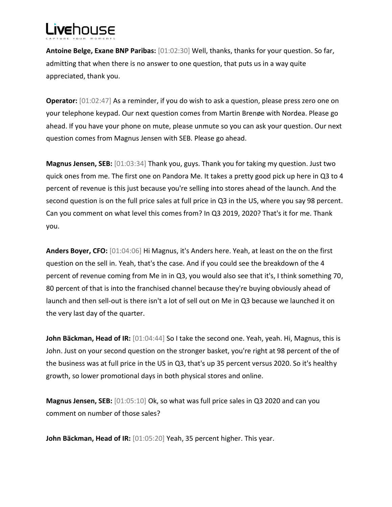# vehnuse

**Antoine Belge, Exane BNP Paribas:** [01:02:30] Well, thanks, thanks for your question. So far, admitting that when there is no answer to one question, that puts us in a way quite appreciated, thank you.

**Operator:**  $[01:02:47]$  As a reminder, if you do wish to ask a question, please press zero one on your telephone keypad. Our next question comes from Martin Brenøe with Nordea. Please go ahead. If you have your phone on mute, please unmute so you can ask your question. Our next question comes from Magnus Jensen with SEB. Please go ahead.

**Magnus Jensen, SEB:** [01:03:34] Thank you, guys. Thank you for taking my question. Just two quick ones from me. The first one on Pandora Me. It takes a pretty good pick up here in Q3 to 4 percent of revenue is this just because you're selling into stores ahead of the launch. And the second question is on the full price sales at full price in Q3 in the US, where you say 98 percent. Can you comment on what level this comes from? In Q3 2019, 2020? That's it for me. Thank you.

**Anders Boyer, CFO:** [01:04:06] Hi Magnus, it's Anders here. Yeah, at least on the on the first question on the sell in. Yeah, that's the case. And if you could see the breakdown of the 4 percent of revenue coming from Me in in Q3, you would also see that it's, I think something 70, 80 percent of that is into the franchised channel because they're buying obviously ahead of launch and then sell-out is there isn't a lot of sell out on Me in Q3 because we launched it on the very last day of the quarter.

John Bäckman, Head of IR: [01:04:44] So I take the second one. Yeah, yeah. Hi, Magnus, this is John. Just on your second question on the stronger basket, you're right at 98 percent of the of the business was at full price in the US in Q3, that's up 35 percent versus 2020. So it's healthy growth, so lower promotional days in both physical stores and online.

**Magnus Jensen, SEB:** [01:05:10] Ok, so what was full price sales in Q3 2020 and can you comment on number of those sales?

**John Bäckman, Head of IR:** [01:05:20] Yeah, 35 percent higher. This year.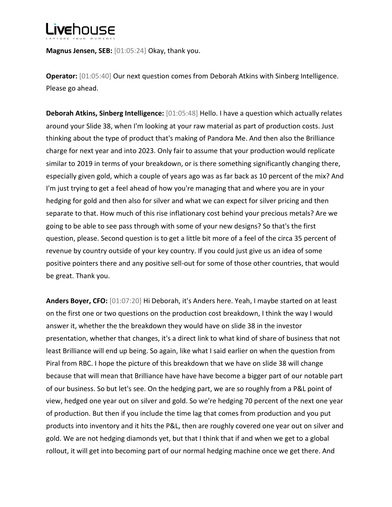**Magnus Jensen, SEB:** [01:05:24] Okay, thank you.

**Operator:** [01:05:40] Our next question comes from Deborah Atkins with Sinberg Intelligence. Please go ahead.

**Deborah Atkins, Sinberg Intelligence:** [01:05:48] Hello. I have a question which actually relates around your Slide 38, when I'm looking at your raw material as part of production costs. Just thinking about the type of product that's making of Pandora Me. And then also the Brilliance charge for next year and into 2023. Only fair to assume that your production would replicate similar to 2019 in terms of your breakdown, or is there something significantly changing there, especially given gold, which a couple of years ago was as far back as 10 percent of the mix? And I'm just trying to get a feel ahead of how you're managing that and where you are in your hedging for gold and then also for silver and what we can expect for silver pricing and then separate to that. How much of this rise inflationary cost behind your precious metals? Are we going to be able to see pass through with some of your new designs? So that's the first question, please. Second question is to get a little bit more of a feel of the circa 35 percent of revenue by country outside of your key country. If you could just give us an idea of some positive pointers there and any positive sell-out for some of those other countries, that would be great. Thank you.

**Anders Boyer, CFO:** [01:07:20] Hi Deborah, it's Anders here. Yeah, I maybe started on at least on the first one or two questions on the production cost breakdown, I think the way I would answer it, whether the the breakdown they would have on slide 38 in the investor presentation, whether that changes, it's a direct link to what kind of share of business that not least Brilliance will end up being. So again, like what I said earlier on when the question from Piral from RBC. I hope the picture of this breakdown that we have on slide 38 will change because that will mean that Brilliance have have have become a bigger part of our notable part of our business. So but let's see. On the hedging part, we are so roughly from a P&L point of view, hedged one year out on silver and gold. So we're hedging 70 percent of the next one year of production. But then if you include the time lag that comes from production and you put products into inventory and it hits the P&L, then are roughly covered one year out on silver and gold. We are not hedging diamonds yet, but that I think that if and when we get to a global rollout, it will get into becoming part of our normal hedging machine once we get there. And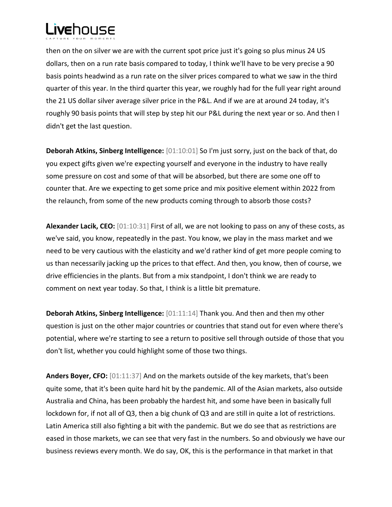

then on the on silver we are with the current spot price just it's going so plus minus 24 US dollars, then on a run rate basis compared to today, I think we'll have to be very precise a 90 basis points headwind as a run rate on the silver prices compared to what we saw in the third quarter of this year. In the third quarter this year, we roughly had for the full year right around the 21 US dollar silver average silver price in the P&L. And if we are at around 24 today, it's roughly 90 basis points that will step by step hit our P&L during the next year or so. And then I didn't get the last question.

**Deborah Atkins, Sinberg Intelligence:** [01:10:01] So I'm just sorry, just on the back of that, do you expect gifts given we're expecting yourself and everyone in the industry to have really some pressure on cost and some of that will be absorbed, but there are some one off to counter that. Are we expecting to get some price and mix positive element within 2022 from the relaunch, from some of the new products coming through to absorb those costs?

**Alexander Lacik, CEO:** [01:10:31] First of all, we are not looking to pass on any of these costs, as we've said, you know, repeatedly in the past. You know, we play in the mass market and we need to be very cautious with the elasticity and we'd rather kind of get more people coming to us than necessarily jacking up the prices to that effect. And then, you know, then of course, we drive efficiencies in the plants. But from a mix standpoint, I don't think we are ready to comment on next year today. So that, I think is a little bit premature.

**Deborah Atkins, Sinberg Intelligence:** [01:11:14] Thank you. And then and then my other question is just on the other major countries or countries that stand out for even where there's potential, where we're starting to see a return to positive sell through outside of those that you don't list, whether you could highlight some of those two things.

**Anders Boyer, CFO:** [01:11:37] And on the markets outside of the key markets, that's been quite some, that it's been quite hard hit by the pandemic. All of the Asian markets, also outside Australia and China, has been probably the hardest hit, and some have been in basically full lockdown for, if not all of Q3, then a big chunk of Q3 and are still in quite a lot of restrictions. Latin America still also fighting a bit with the pandemic. But we do see that as restrictions are eased in those markets, we can see that very fast in the numbers. So and obviously we have our business reviews every month. We do say, OK, this is the performance in that market in that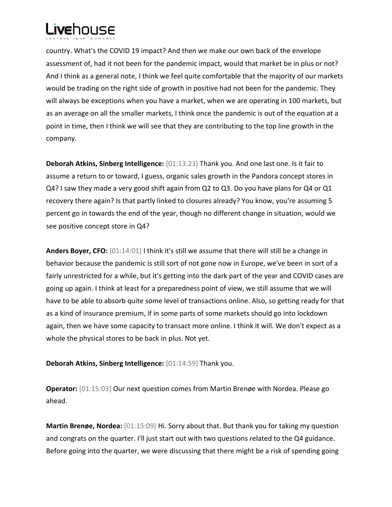

country. What's the COVID 19 impact? And then we make our own back of the envelope assessment of, had it not been for the pandemic impact, would that market be in plus or not? And I think as a general note, I think we feel quite comfortable that the majority of our markets would be trading on the right side of growth in positive had not been for the pandemic. They will always be exceptions when you have a market, when we are operating in 100 markets, but as an average on all the smaller markets, I think once the pandemic is out of the equation at a point in time, then I think we will see that they are contributing to the top line growth in the company.

**Deborah Atkins, Sinberg Intelligence:** [01:13:23] Thank you. And one last one. Is it fair to assume a return to or toward, I guess, organic sales growth in the Pandora concept stores in Q4? I saw they made a very good shift again from Q2 to Q3. Do you have plans for Q4 or Q1 recovery there again? Is that partly linked to closures already? You know, you're assuming 5 percent go in towards the end of the year, though no different change in situation, would we see positive concept store in Q4?

**Anders Boyer, CFO:** [01:14:01] I think it's still we assume that there will still be a change in behavior because the pandemic is still sort of not gone now in Europe, we've been in sort of a fairly unrestricted for a while, but it's getting into the dark part of the year and COVID cases are going up again. I think at least for a preparedness point of view, we still assume that we will have to be able to absorb quite some level of transactions online. Also, so getting ready for that as a kind of insurance premium, if in some parts of some markets should go into lockdown again, then we have some capacity to transact more online. I think it will. We don't expect as a whole the physical stores to be back in plus. Not yet.

**Deborah Atkins, Sinberg Intelligence:** [01:14:59] Thank you.

**Operator:** [01:15:03] Our next question comes from Martin Brenøe with Nordea. Please go ahead.

**Martin Brenøe, Nordea:** [01:15:09] Hi. Sorry about that. But thank you for taking my question and congrats on the quarter. I'll just start out with two questions related to the Q4 guidance. Before going into the quarter, we were discussing that there might be a risk of spending going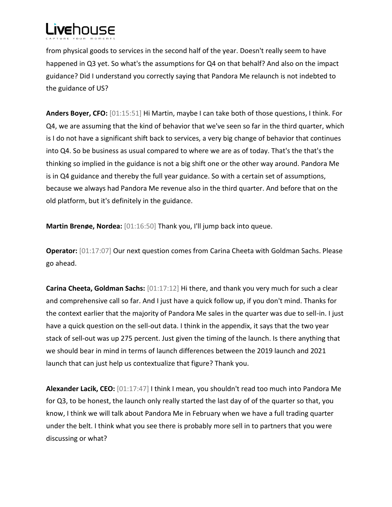from physical goods to services in the second half of the year. Doesn't really seem to have happened in Q3 yet. So what's the assumptions for Q4 on that behalf? And also on the impact guidance? Did I understand you correctly saying that Pandora Me relaunch is not indebted to the guidance of US?

**Anders Boyer, CFO:** [01:15:51] Hi Martin, maybe I can take both of those questions, I think. For Q4, we are assuming that the kind of behavior that we've seen so far in the third quarter, which is I do not have a significant shift back to services, a very big change of behavior that continues into Q4. So be business as usual compared to where we are as of today. That's the that's the thinking so implied in the guidance is not a big shift one or the other way around. Pandora Me is in Q4 guidance and thereby the full year guidance. So with a certain set of assumptions, because we always had Pandora Me revenue also in the third quarter. And before that on the old platform, but it's definitely in the guidance.

**Martin Brenøe, Nordea:** [01:16:50] Thank you, I'll jump back into queue.

**Operator:** [01:17:07] Our next question comes from Carina Cheeta with Goldman Sachs. Please go ahead.

**Carina Cheeta, Goldman Sachs:** [01:17:12] Hi there, and thank you very much for such a clear and comprehensive call so far. And I just have a quick follow up, if you don't mind. Thanks for the context earlier that the majority of Pandora Me sales in the quarter was due to sell-in. I just have a quick question on the sell-out data. I think in the appendix, it says that the two year stack of sell-out was up 275 percent. Just given the timing of the launch. Is there anything that we should bear in mind in terms of launch differences between the 2019 launch and 2021 launch that can just help us contextualize that figure? Thank you.

**Alexander Lacik, CEO:** [01:17:47] I think I mean, you shouldn't read too much into Pandora Me for Q3, to be honest, the launch only really started the last day of of the quarter so that, you know, I think we will talk about Pandora Me in February when we have a full trading quarter under the belt. I think what you see there is probably more sell in to partners that you were discussing or what?